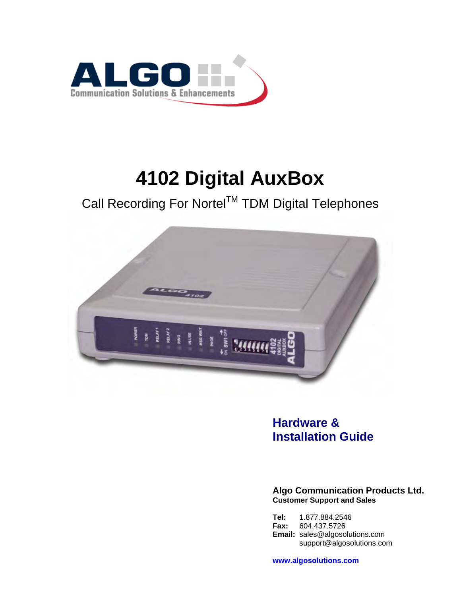

# **4102 Digital AuxBox**

Call Recording For Nortel™ TDM Digital Telephones



### **Hardware & Installation Guide**

**Algo Communication Products Ltd. Customer Support and Sales** 

**Tel:** 1.877.884.2546<br>**Fax:** 604.437.5726 **Fax:** 604.437.5726 **Email:** sales@algosolutions.com support@algosolutions.com

**www.algosolutions.com**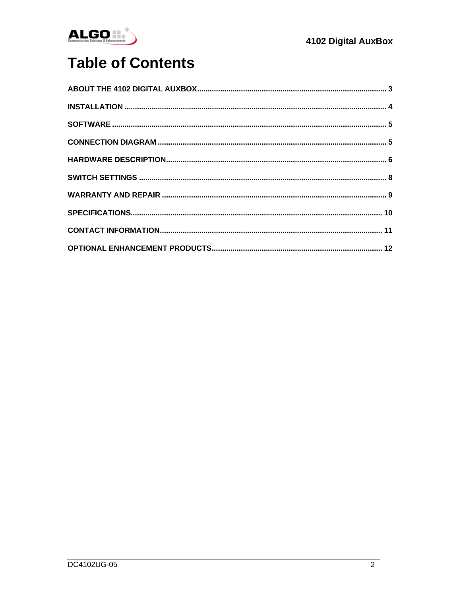

# **Table of Contents**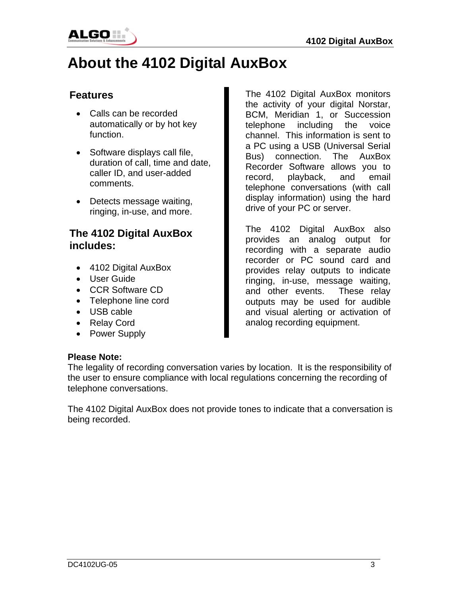<span id="page-2-0"></span>

# **About the 4102 Digital AuxBox**

### **Features**

- Calls can be recorded automatically or by hot key function.
- Software displays call file, duration of call, time and date, caller ID, and user-added comments.
- Detects message waiting, ringing, in-use, and more.

### **The 4102 Digital AuxBox includes:**

- 4102 Digital AuxBox
- User Guide
- CCR Software CD
- Telephone line cord
- USB cable
- Relay Cord
- Power Supply

The 4102 Digital AuxBox monitors the activity of your digital Norstar, BCM, Meridian 1, or Succession telephone including the voice channel. This information is sent to a PC using a USB (Universal Serial Bus) connection. The AuxBox Recorder Software allows you to record, playback, and email telephone conversations (with call display information) using the hard drive of your PC or server.

The 4102 Digital AuxBox also provides an analog output for recording with a separate audio recorder or PC sound card and provides relay outputs to indicate ringing, in-use, message waiting, and other events. These relay outputs may be used for audible and visual alerting or activation of analog recording equipment.

#### **Please Note:**

The legality of recording conversation varies by location. It is the responsibility of the user to ensure compliance with local regulations concerning the recording of telephone conversations.

The 4102 Digital AuxBox does not provide tones to indicate that a conversation is being recorded.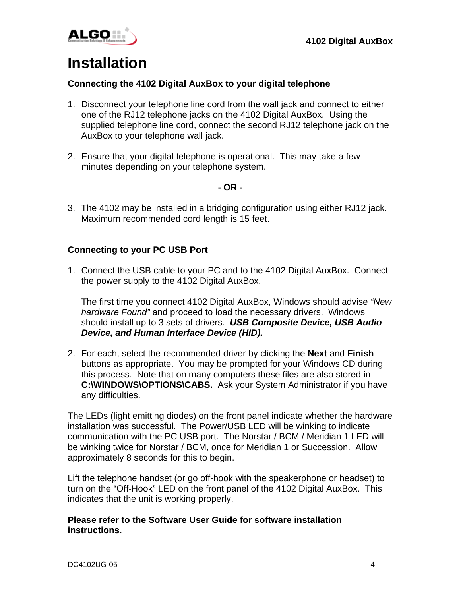<span id="page-3-0"></span>

# **Installation**

#### **Connecting the 4102 Digital AuxBox to your digital telephone**

- 1. Disconnect your telephone line cord from the wall jack and connect to either one of the RJ12 telephone jacks on the 4102 Digital AuxBox. Using the supplied telephone line cord, connect the second RJ12 telephone jack on the AuxBox to your telephone wall jack.
- 2. Ensure that your digital telephone is operational. This may take a few minutes depending on your telephone system.

#### **- OR -**

3. The 4102 may be installed in a bridging configuration using either RJ12 jack. Maximum recommended cord length is 15 feet.

#### **Connecting to your PC USB Port**

1. Connect the USB cable to your PC and to the 4102 Digital AuxBox. Connect the power supply to the 4102 Digital AuxBox.

The first time you connect 4102 Digital AuxBox, Windows should advise *"New hardware Found"* and proceed to load the necessary drivers. Windows should install up to 3 sets of drivers. *USB Composite Device, USB Audio Device, and Human Interface Device (HID).* 

2. For each, select the recommended driver by clicking the **Next** and **Finish** buttons as appropriate. You may be prompted for your Windows CD during this process. Note that on many computers these files are also stored in **C:\WINDOWS\OPTIONS\CABS.** Ask your System Administrator if you have any difficulties.

The LEDs (light emitting diodes) on the front panel indicate whether the hardware installation was successful. The Power/USB LED will be winking to indicate communication with the PC USB port. The Norstar / BCM / Meridian 1 LED will be winking twice for Norstar / BCM, once for Meridian 1 or Succession. Allow approximately 8 seconds for this to begin.

Lift the telephone handset (or go off-hook with the speakerphone or headset) to turn on the "Off-Hook" LED on the front panel of the 4102 Digital AuxBox. This indicates that the unit is working properly.

#### **Please refer to the Software User Guide for software installation instructions.**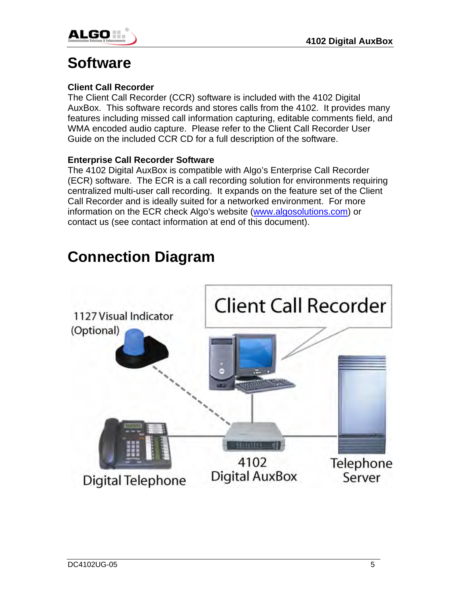<span id="page-4-0"></span>

### **Software**

### **Client Call Recorder**

The Client Call Recorder (CCR) software is included with the 4102 Digital AuxBox. This software records and stores calls from the 4102. It provides many features including missed call information capturing, editable comments field, and WMA encoded audio capture. Please refer to the Client Call Recorder User Guide on the included CCR CD for a full description of the software.

#### **Enterprise Call Recorder Software**

The 4102 Digital AuxBox is compatible with Algo's Enterprise Call Recorder (ECR) software. The ECR is a call recording solution for environments requiring centralized multi-user call recording. It expands on the feature set of the Client Call Recorder and is ideally suited for a networked environment. For more information on the ECR check Algo's website ([www.algosolutions.com](http://www.algosolutions.com/)) or contact us (see contact information at end of this document).

## **Connection Diagram**

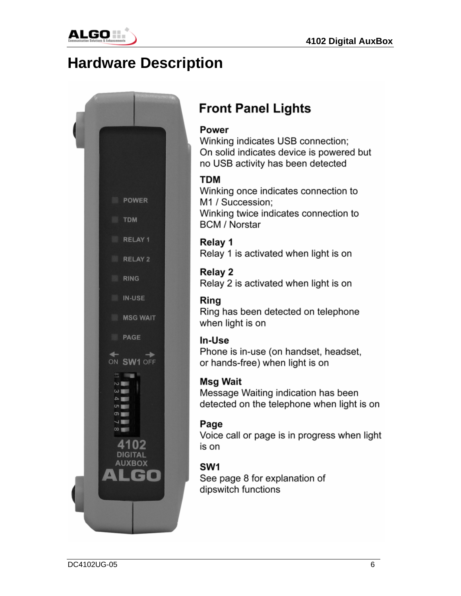<span id="page-5-0"></span>

## **Hardware Description**



## **Front Panel Lights**

### **Power**

Winking indicates USB connection; On solid indicates device is powered but no USB activity has been detected

### **TDM**

Winking once indicates connection to M1 / Succession; Winking twice indicates connection to **BCM / Norstar** 

Relay 1 Relay 1 is activated when light is on

**Relay 2** Relay 2 is activated when light is on

### Ring

Ring has been detected on telephone when light is on

### In-Use

Phone is in-use (on handset, headset, or hands-free) when light is on

### **Msg Wait**

Message Waiting indication has been detected on the telephone when light is on

### Page

Voice call or page is in progress when light is on

### SW<sub>1</sub>

See page 8 for explanation of dipswitch functions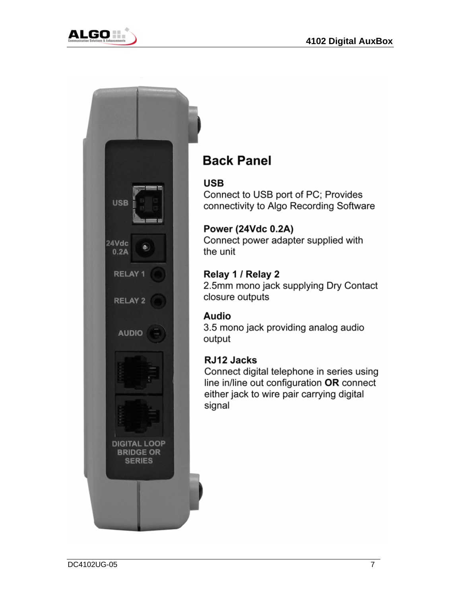



### **Back Panel**

### **USB**

Connect to USB port of PC; Provides connectivity to Algo Recording Software

### **Power (24Vdc 0.2A)**

Connect power adapter supplied with the unit

### Relay 1 / Relay 2

2.5mm mono jack supplying Dry Contact closure outputs

### Audio

3.5 mono jack providing analog audio output

### RJ12 Jacks

Connect digital telephone in series using line in/line out configuration OR connect either jack to wire pair carrying digital signal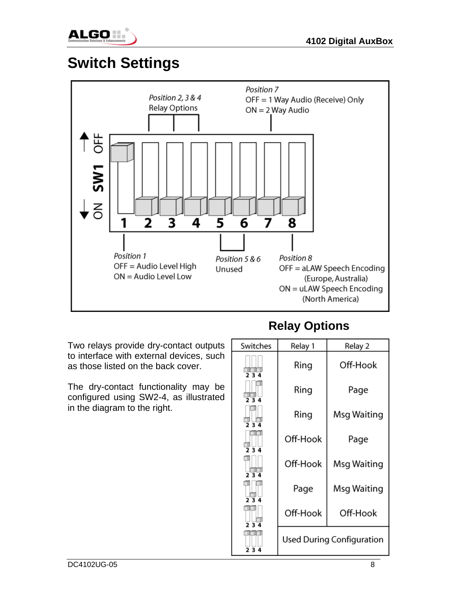<span id="page-7-0"></span>

# **Switch Settings**



Two relays provide dry-contact outputs to interface with external devices, such as those listed on the back cover.

The dry-contact functionality may be configured using SW2-4, as illustrated in the diagram to the right.

### **Relay Options**

| Switches           | Relay 1  | Relay 2                          |
|--------------------|----------|----------------------------------|
| 23                 | Ring     | Off-Hook                         |
| $\frac{1}{2}$ 3 4  | Ring     | Page                             |
| $\frac{1}{2}$ 3 4  | Ring     | Msg Waiting                      |
| $\frac{11}{2}$ 3 4 | Off-Hook | Page                             |
| 23                 | Off-Hook | Msg Waiting                      |
| 234                | Page     | Msg Waiting                      |
| 234                | Off-Hook | Off-Hook                         |
| 234                |          | <b>Used During Configuration</b> |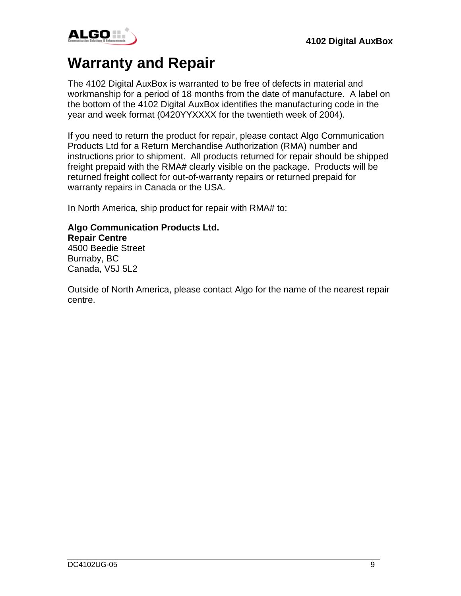<span id="page-8-0"></span>

# **Warranty and Repair**

The 4102 Digital AuxBox is warranted to be free of defects in material and workmanship for a period of 18 months from the date of manufacture. A label on the bottom of the 4102 Digital AuxBox identifies the manufacturing code in the year and week format (0420YYXXXX for the twentieth week of 2004).

If you need to return the product for repair, please contact Algo Communication Products Ltd for a Return Merchandise Authorization (RMA) number and instructions prior to shipment. All products returned for repair should be shipped freight prepaid with the RMA# clearly visible on the package. Products will be returned freight collect for out-of-warranty repairs or returned prepaid for warranty repairs in Canada or the USA.

In North America, ship product for repair with RMA# to:

### **Algo Communication Products Ltd. Repair Centre**  4500 Beedie Street

Burnaby, BC Canada, V5J 5L2

Outside of North America, please contact Algo for the name of the nearest repair centre.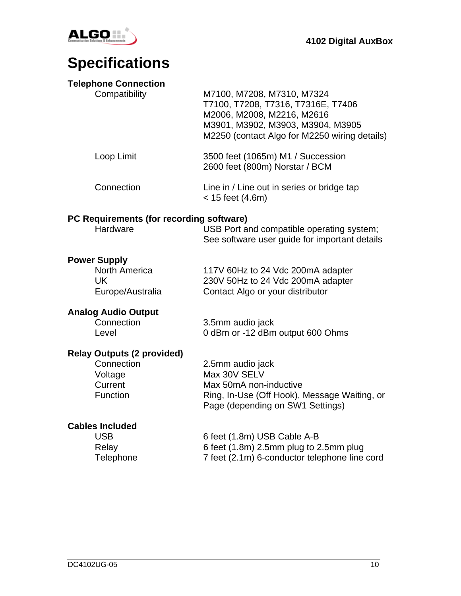

<span id="page-9-0"></span>

# **Specifications**

### **Telephone Connection**

| Compatibility                                                                     | M7100, M7208, M7310, M7324<br>T7100, T7208, T7316, T7316E, T7406<br>M2006, M2008, M2216, M2616<br>M3901, M3902, M3903, M3904, M3905<br>M2250 (contact Algo for M2250 wiring details) |
|-----------------------------------------------------------------------------------|--------------------------------------------------------------------------------------------------------------------------------------------------------------------------------------|
| Loop Limit                                                                        | 3500 feet (1065m) M1 / Succession<br>2600 feet (800m) Norstar / BCM                                                                                                                  |
| Connection                                                                        | Line in / Line out in series or bridge tap<br>$< 15$ feet (4.6m)                                                                                                                     |
| PC Requirements (for recording software)<br>Hardware                              | USB Port and compatible operating system;<br>See software user guide for important details                                                                                           |
| <b>Power Supply</b><br>North America<br><b>UK</b><br>Europe/Australia             | 117V 60Hz to 24 Vdc 200mA adapter<br>230V 50Hz to 24 Vdc 200mA adapter<br>Contact Algo or your distributor                                                                           |
| <b>Analog Audio Output</b><br>Connection<br>Level                                 | 3.5mm audio jack<br>0 dBm or -12 dBm output 600 Ohms                                                                                                                                 |
| <b>Relay Outputs (2 provided)</b><br>Connection<br>Voltage<br>Current<br>Function | 2.5mm audio jack<br>Max 30V SELV<br>Max 50mA non-inductive<br>Ring, In-Use (Off Hook), Message Waiting, or<br>Page (depending on SW1 Settings)                                       |
| <b>Cables Included</b><br><b>USB</b><br>Relay<br>Telephone                        | 6 feet (1.8m) USB Cable A-B<br>6 feet (1.8m) 2.5mm plug to 2.5mm plug<br>7 feet (2.1m) 6-conductor telephone line cord                                                               |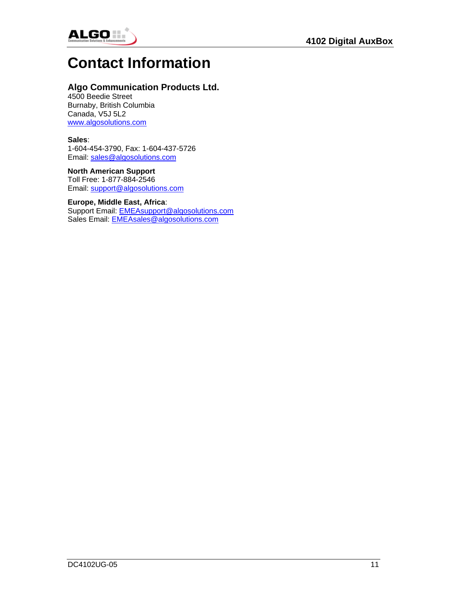<span id="page-10-0"></span>

## **Contact Information**

#### **Algo Communication Products Ltd.**

4500 Beedie Street Burnaby, British Columbia Canada, V5J 5L2 [www.algosolutions.com](http://www.algosolutions.com/) 

#### **Sales**:

1-604-454-3790, Fax: 1-604-437-5726 Email: [sales@algosolutions.com](mailto:sales@algosolutions.com)

#### **North American Support**

Toll Free: 1-877-884-2546 Email: [support@algosolutions.com](mailto:support@algosolutions.com)

#### **Europe, Middle East, Africa**:

Support Email: [EMEAsupport@algosolutions.com](mailto:EMEAsupport@algosolutions.com) Sales Email: [EMEAsales@algosolutions.com](mailto:EMEAsales@algosolutions.com)